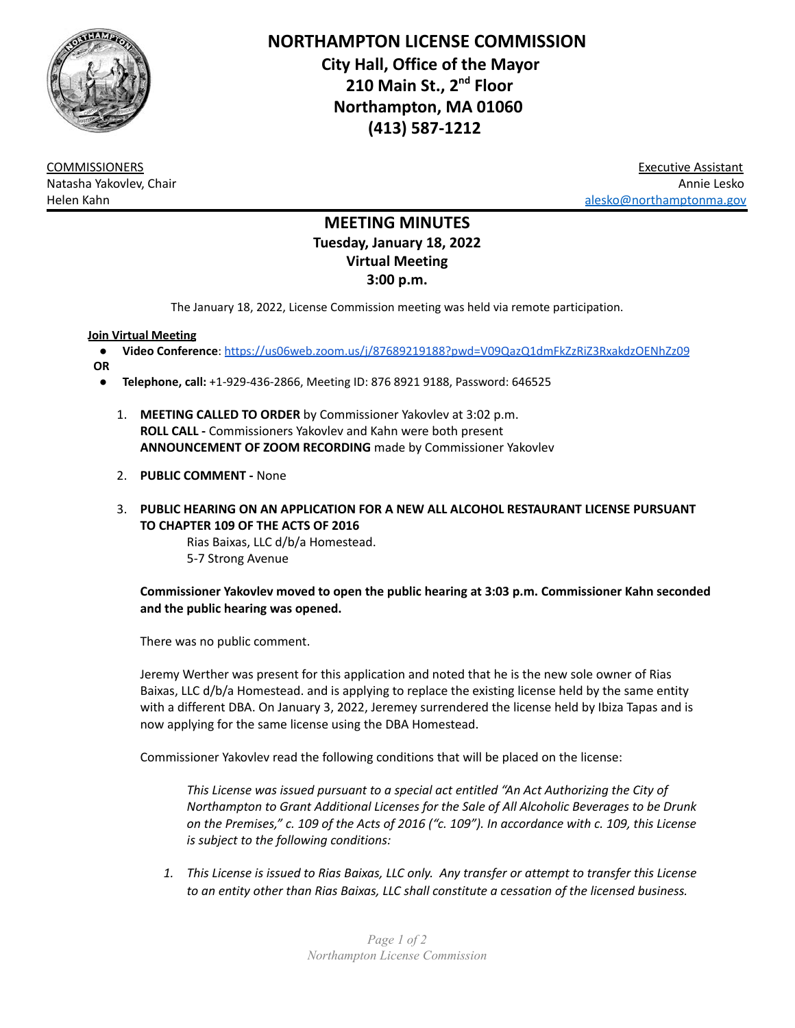

**NORTHAMPTON LICENSE COMMISSION City Hall, Office of the Mayor 210 Main St., 2 nd Floor Northampton, MA 01060 (413) 587-1212**

COMMISSIONERS Executive Assistant Natasha Yakovlev, Chair Annie Lesko Helen Kahn [alesko@northamptonma.gov](mailto:alesko@northamptonma.gov)

# **MEETING MINUTES Tuesday, January 18, 2022 Virtual Meeting 3:00 p.m.**

The January 18, 2022, License Commission meeting was held via remote participation.

## **Join Virtual Meeting**

- **Video Conference**: <https://us06web.zoom.us/j/87689219188?pwd=V09QazQ1dmFkZzRiZ3RxakdzOENhZz09>
- **OR**
	- **Telephone, call:** +1-929-436-2866, Meeting ID: 876 8921 9188, Password: 646525
		- 1. **MEETING CALLED TO ORDER** by Commissioner Yakovlev at 3:02 p.m. **ROLL CALL -** Commissioners Yakovlev and Kahn were both present **ANNOUNCEMENT OF ZOOM RECORDING** made by Commissioner Yakovlev
		- 2. **PUBLIC COMMENT -** None
		- 3. **PUBLIC HEARING ON AN APPLICATION FOR A NEW ALL ALCOHOL RESTAURANT LICENSE PURSUANT TO CHAPTER 109 OF THE ACTS OF 2016**

Rias Baixas, LLC d/b/a Homestead. 5-7 Strong Avenue

## **Commissioner Yakovlev moved to open the public hearing at 3:03 p.m. Commissioner Kahn seconded and the public hearing was opened.**

There was no public comment.

Jeremy Werther was present for this application and noted that he is the new sole owner of Rias Baixas, LLC d/b/a Homestead. and is applying to replace the existing license held by the same entity with a different DBA. On January 3, 2022, Jeremey surrendered the license held by Ibiza Tapas and is now applying for the same license using the DBA Homestead.

Commissioner Yakovlev read the following conditions that will be placed on the license:

*This License was issued pursuant to a special act entitled "An Act Authorizing the City of Northampton to Grant Additional Licenses for the Sale of All Alcoholic Beverages to be Drunk on the Premises," c. 109 of the Acts of 2016 ("c. 109"). In accordance with c. 109, this License is subject to the following conditions:*

*1. This License is issued to Rias Baixas, LLC only. Any transfer or attempt to transfer this License to an entity other than Rias Baixas, LLC shall constitute a cessation of the licensed business.*